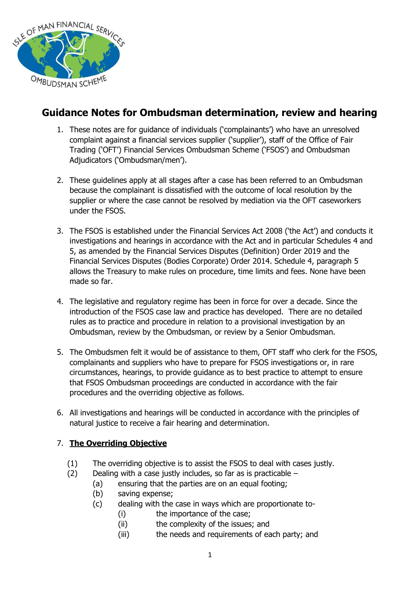

# **Guidance Notes for Ombudsman determination, review and hearing**

- 1. These notes are for guidance of individuals ('complainants') who have an unresolved complaint against a financial services supplier ('supplier'), staff of the Office of Fair Trading ('OFT') Financial Services Ombudsman Scheme ('FSOS') and Ombudsman Adjudicators ('Ombudsman/men').
- 2. These guidelines apply at all stages after a case has been referred to an Ombudsman because the complainant is dissatisfied with the outcome of local resolution by the supplier or where the case cannot be resolved by mediation via the OFT caseworkers under the FSOS.
- 3. The FSOS is established under the Financial Services Act 2008 ('the Act') and conducts it investigations and hearings in accordance with the Act and in particular Schedules 4 and 5, as amended by the Financial Services Disputes (Definition) Order 2019 and the Financial Services Disputes (Bodies Corporate) Order 2014. Schedule 4, paragraph 5 allows the Treasury to make rules on procedure, time limits and fees. None have been made so far.
- 4. The legislative and regulatory regime has been in force for over a decade. Since the introduction of the FSOS case law and practice has developed. There are no detailed rules as to practice and procedure in relation to a provisional investigation by an Ombudsman, review by the Ombudsman, or review by a Senior Ombudsman.
- 5. The Ombudsmen felt it would be of assistance to them, OFT staff who clerk for the FSOS, complainants and suppliers who have to prepare for FSOS investigations or, in rare circumstances, hearings, to provide guidance as to best practice to attempt to ensure that FSOS Ombudsman proceedings are conducted in accordance with the fair procedures and the overriding objective as follows.
- 6. All investigations and hearings will be conducted in accordance with the principles of natural justice to receive a fair hearing and determination.

# 7. **The Overriding Objective**

- (1) The overriding objective is to assist the FSOS to deal with cases justly.
- $(2)$  Dealing with a case justly includes, so far as is practicable
	- (a) ensuring that the parties are on an equal footing;
	- (b) saving expense;
	- (c) dealing with the case in ways which are proportionate to-
		- (i) the importance of the case;
			- (ii) the complexity of the issues; and
			- (iii) the needs and requirements of each party; and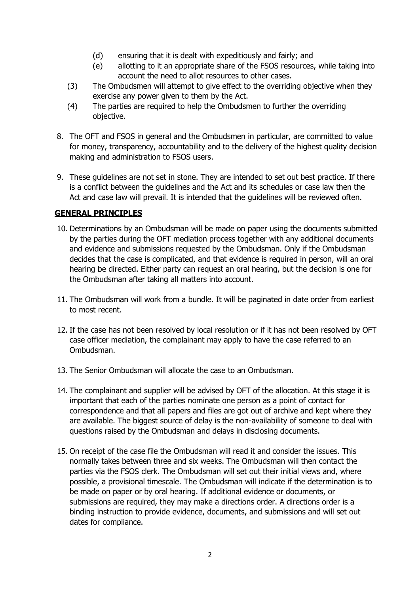- (d) ensuring that it is dealt with expeditiously and fairly; and
- (e) allotting to it an appropriate share of the FSOS resources, while taking into account the need to allot resources to other cases.
- (3) The Ombudsmen will attempt to give effect to the overriding objective when they exercise any power given to them by the Act.
- (4) The parties are required to help the Ombudsmen to further the overriding objective.
- 8. The OFT and FSOS in general and the Ombudsmen in particular, are committed to value for money, transparency, accountability and to the delivery of the highest quality decision making and administration to FSOS users.
- 9. These guidelines are not set in stone. They are intended to set out best practice. If there is a conflict between the guidelines and the Act and its schedules or case law then the Act and case law will prevail. It is intended that the guidelines will be reviewed often.

## **GENERAL PRINCIPLES**

- 10. Determinations by an Ombudsman will be made on paper using the documents submitted by the parties during the OFT mediation process together with any additional documents and evidence and submissions requested by the Ombudsman. Only if the Ombudsman decides that the case is complicated, and that evidence is required in person, will an oral hearing be directed. Either party can request an oral hearing, but the decision is one for the Ombudsman after taking all matters into account.
- 11. The Ombudsman will work from a bundle. It will be paginated in date order from earliest to most recent.
- 12. If the case has not been resolved by local resolution or if it has not been resolved by OFT case officer mediation, the complainant may apply to have the case referred to an Ombudsman.
- 13. The Senior Ombudsman will allocate the case to an Ombudsman.
- 14. The complainant and supplier will be advised by OFT of the allocation. At this stage it is important that each of the parties nominate one person as a point of contact for correspondence and that all papers and files are got out of archive and kept where they are available. The biggest source of delay is the non-availability of someone to deal with questions raised by the Ombudsman and delays in disclosing documents.
- 15. On receipt of the case file the Ombudsman will read it and consider the issues. This normally takes between three and six weeks. The Ombudsman will then contact the parties via the FSOS clerk. The Ombudsman will set out their initial views and, where possible, a provisional timescale. The Ombudsman will indicate if the determination is to be made on paper or by oral hearing. If additional evidence or documents, or submissions are required, they may make a directions order. A directions order is a binding instruction to provide evidence, documents, and submissions and will set out dates for compliance.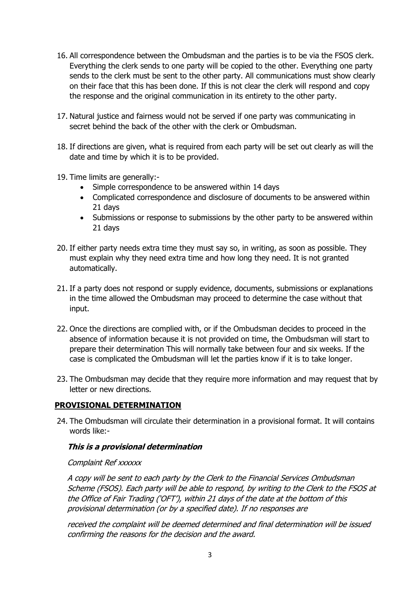- 16. All correspondence between the Ombudsman and the parties is to be via the FSOS clerk. Everything the clerk sends to one party will be copied to the other. Everything one party sends to the clerk must be sent to the other party. All communications must show clearly on their face that this has been done. If this is not clear the clerk will respond and copy the response and the original communication in its entirety to the other party.
- 17. Natural justice and fairness would not be served if one party was communicating in secret behind the back of the other with the clerk or Ombudsman.
- 18. If directions are given, what is required from each party will be set out clearly as will the date and time by which it is to be provided.
- 19. Time limits are generally:-
	- Simple correspondence to be answered within 14 days
	- Complicated correspondence and disclosure of documents to be answered within 21 days
	- Submissions or response to submissions by the other party to be answered within 21 days
- 20. If either party needs extra time they must say so, in writing, as soon as possible. They must explain why they need extra time and how long they need. It is not granted automatically.
- 21. If a party does not respond or supply evidence, documents, submissions or explanations in the time allowed the Ombudsman may proceed to determine the case without that input.
- 22. Once the directions are complied with, or if the Ombudsman decides to proceed in the absence of information because it is not provided on time, the Ombudsman will start to prepare their determination This will normally take between four and six weeks. If the case is complicated the Ombudsman will let the parties know if it is to take longer.
- 23. The Ombudsman may decide that they require more information and may request that by letter or new directions.

## **PROVISIONAL DETERMINATION**

24. The Ombudsman will circulate their determination in a provisional format. It will contains words like:-

## **This is a provisional determination**

## Complaint Ref xxxxxx

A copy will be sent to each party by the Clerk to the Financial Services Ombudsman Scheme (FSOS). Each party will be able to respond, by writing to the Clerk to the FSOS at the Office of Fair Trading ('OFT'), within 21 days of the date at the bottom of this provisional determination (or by a specified date). If no responses are

received the complaint will be deemed determined and final determination will be issued confirming the reasons for the decision and the award.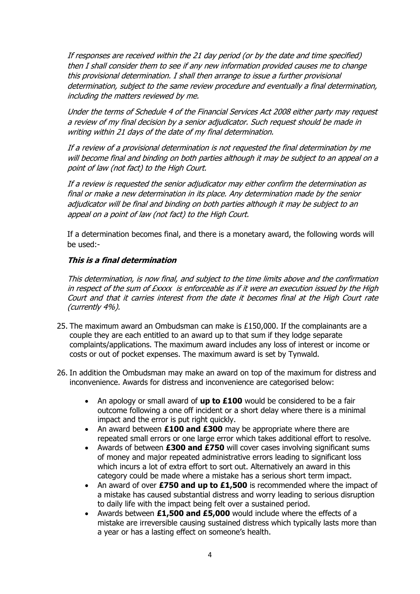If responses are received within the 21 day period (or by the date and time specified) then I shall consider them to see if any new information provided causes me to change this provisional determination. I shall then arrange to issue a further provisional determination, subject to the same review procedure and eventually a final determination, including the matters reviewed by me.

Under the terms of Schedule 4 of the Financial Services Act 2008 either party may request a review of my final decision by a senior adjudicator. Such request should be made in writing within 21 days of the date of my final determination.

If a review of a provisional determination is not requested the final determination by me will become final and binding on both parties although it may be subject to an appeal on a point of law (not fact) to the High Court.

If a review is requested the senior adjudicator may either confirm the determination as final or make a new determination in its place. Any determination made by the senior adjudicator will be final and binding on both parties although it may be subject to an appeal on a point of law (not fact) to the High Court.

If a determination becomes final, and there is a monetary award, the following words will be used:-

## **This is a final determination**

This determination, is now final, and subject to the time limits above and the confirmation in respect of the sum of  $Exxx$  is enforceable as if it were an execution issued by the High Court and that it carries interest from the date it becomes final at the High Court rate (currently 4%).

- 25. The maximum award an Ombudsman can make is £150,000. If the complainants are a couple they are each entitled to an award up to that sum if they lodge separate complaints/applications. The maximum award includes any loss of interest or income or costs or out of pocket expenses. The maximum award is set by Tynwald.
- 26. In addition the Ombudsman may make an award on top of the maximum for distress and inconvenience. Awards for distress and inconvenience are categorised below:
	- An apology or small award of **up to £100** would be considered to be a fair outcome following a one off incident or a short delay where there is a minimal impact and the error is put right quickly.
	- An award between **£100 and £300** may be appropriate where there are repeated small errors or one large error which takes additional effort to resolve.
	- Awards of between **£300 and £750** will cover cases involving significant sums of money and major repeated administrative errors leading to significant loss which incurs a lot of extra effort to sort out. Alternatively an award in this category could be made where a mistake has a serious short term impact.
	- An award of over **£750 and up to £1,500** is recommended where the impact of a mistake has caused substantial distress and worry leading to serious disruption to daily life with the impact being felt over a sustained period.
	- Awards between **£1,500 and £5,000** would include where the effects of a mistake are irreversible causing sustained distress which typically lasts more than a year or has a lasting effect on someone's health.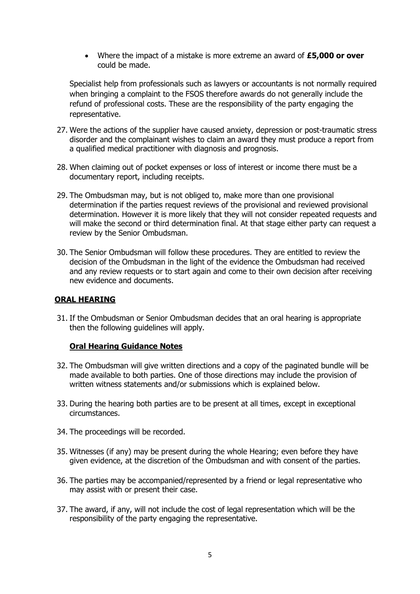Where the impact of a mistake is more extreme an award of **£5,000 or over** could be made.

Specialist help from professionals such as lawyers or accountants is not normally required when bringing a complaint to the FSOS therefore awards do not generally include the refund of professional costs. These are the responsibility of the party engaging the representative.

- 27. Were the actions of the supplier have caused anxiety, depression or post-traumatic stress disorder and the complainant wishes to claim an award they must produce a report from a qualified medical practitioner with diagnosis and prognosis.
- 28. When claiming out of pocket expenses or loss of interest or income there must be a documentary report, including receipts.
- 29. The Ombudsman may, but is not obliged to, make more than one provisional determination if the parties request reviews of the provisional and reviewed provisional determination. However it is more likely that they will not consider repeated requests and will make the second or third determination final. At that stage either party can request a review by the Senior Ombudsman.
- 30. The Senior Ombudsman will follow these procedures. They are entitled to review the decision of the Ombudsman in the light of the evidence the Ombudsman had received and any review requests or to start again and come to their own decision after receiving new evidence and documents.

## **ORAL HEARING**

31. If the Ombudsman or Senior Ombudsman decides that an oral hearing is appropriate then the following guidelines will apply.

## **Oral Hearing Guidance Notes**

- 32. The Ombudsman will give written directions and a copy of the paginated bundle will be made available to both parties. One of those directions may include the provision of written witness statements and/or submissions which is explained below.
- 33. During the hearing both parties are to be present at all times, except in exceptional circumstances.
- 34. The proceedings will be recorded.
- 35. Witnesses (if any) may be present during the whole Hearing; even before they have given evidence, at the discretion of the Ombudsman and with consent of the parties.
- 36. The parties may be accompanied/represented by a friend or legal representative who may assist with or present their case.
- 37. The award, if any, will not include the cost of legal representation which will be the responsibility of the party engaging the representative.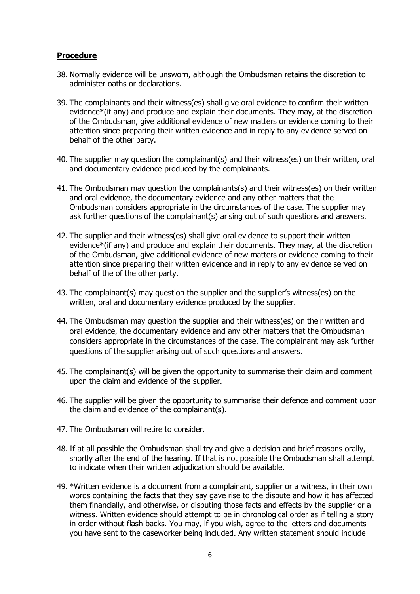## **Procedure**

- 38. Normally evidence will be unsworn, although the Ombudsman retains the discretion to administer oaths or declarations.
- 39. The complainants and their witness(es) shall give oral evidence to confirm their written evidence\*(if any) and produce and explain their documents. They may, at the discretion of the Ombudsman, give additional evidence of new matters or evidence coming to their attention since preparing their written evidence and in reply to any evidence served on behalf of the other party.
- 40. The supplier may question the complainant(s) and their witness(es) on their written, oral and documentary evidence produced by the complainants.
- 41. The Ombudsman may question the complainants(s) and their witness(es) on their written and oral evidence, the documentary evidence and any other matters that the Ombudsman considers appropriate in the circumstances of the case. The supplier may ask further questions of the complainant(s) arising out of such questions and answers.
- 42. The supplier and their witness(es) shall give oral evidence to support their written evidence\*(if any) and produce and explain their documents. They may, at the discretion of the Ombudsman, give additional evidence of new matters or evidence coming to their attention since preparing their written evidence and in reply to any evidence served on behalf of the of the other party.
- 43. The complainant(s) may question the supplier and the supplier's witness(es) on the written, oral and documentary evidence produced by the supplier.
- 44. The Ombudsman may question the supplier and their witness(es) on their written and oral evidence, the documentary evidence and any other matters that the Ombudsman considers appropriate in the circumstances of the case. The complainant may ask further questions of the supplier arising out of such questions and answers.
- 45. The complainant(s) will be given the opportunity to summarise their claim and comment upon the claim and evidence of the supplier.
- 46. The supplier will be given the opportunity to summarise their defence and comment upon the claim and evidence of the complainant(s).
- 47. The Ombudsman will retire to consider.
- 48. If at all possible the Ombudsman shall try and give a decision and brief reasons orally, shortly after the end of the hearing. If that is not possible the Ombudsman shall attempt to indicate when their written adjudication should be available.
- 49. \*Written evidence is a document from a complainant, supplier or a witness, in their own words containing the facts that they say gave rise to the dispute and how it has affected them financially, and otherwise, or disputing those facts and effects by the supplier or a witness. Written evidence should attempt to be in chronological order as if telling a story in order without flash backs. You may, if you wish, agree to the letters and documents you have sent to the caseworker being included. Any written statement should include